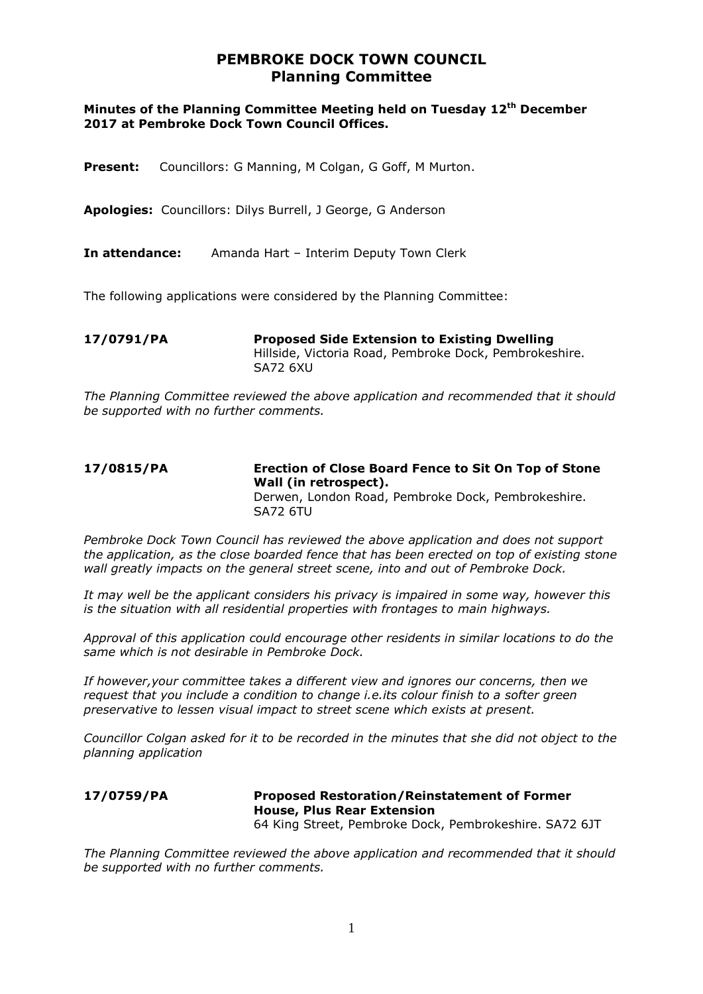## **PEMBROKE DOCK TOWN COUNCIL Planning Committee**

## **Minutes of the Planning Committee Meeting held on Tuesday 12th December 2017 at Pembroke Dock Town Council Offices.**

Present: Councillors: G Manning, M Colgan, G Goff, M Murton.

**Apologies:** Councillors: Dilys Burrell, J George, G Anderson

**In attendance:** Amanda Hart – Interim Deputy Town Clerk

The following applications were considered by the Planning Committee:

**17/0791/PA Proposed Side Extension to Existing Dwelling** Hillside, Victoria Road, Pembroke Dock, Pembrokeshire. SA72 6XU

*The Planning Committee reviewed the above application and recommended that it should be supported with no further comments.*

## **17/0815/PA Erection of Close Board Fence to Sit On Top of Stone Wall (in retrospect).** Derwen, London Road, Pembroke Dock, Pembrokeshire. SA72 6TU

*Pembroke Dock Town Council has reviewed the above application and does not support the application, as the close boarded fence that has been erected on top of existing stone wall greatly impacts on the general street scene, into and out of Pembroke Dock.*

*It may well be the applicant considers his privacy is impaired in some way, however this is the situation with all residential properties with frontages to main highways.*

*Approval of this application could encourage other residents in similar locations to do the same which is not desirable in Pembroke Dock.*

*If however,your committee takes a different view and ignores our concerns, then we request that you include a condition to change i.e.its colour finish to a softer green preservative to lessen visual impact to street scene which exists at present.*

*Councillor Colgan asked for it to be recorded in the minutes that she did not object to the planning application* 

**17/0759/PA Proposed Restoration/Reinstatement of Former House, Plus Rear Extension** 64 King Street, Pembroke Dock, Pembrokeshire. SA72 6JT

*The Planning Committee reviewed the above application and recommended that it should be supported with no further comments.*